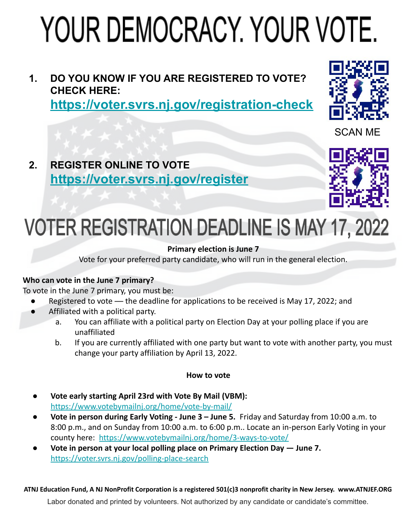# YOUR DEMOCRACY, YOUR VOTE.

### **1. DO YOU KNOW IF YOU ARE REGISTERED TO VOTE? CHECK HERE:**

**<https://voter.svrs.nj.gov/registration-check>**



SCAN ME

**2. REGISTER ONLINE TO VOTE <https://voter.svrs.nj.gov/register>**



## **VOTER REGISTRATION DEADLINE IS MAY 17, 2022**

#### **Primary election is June 7**

Vote for your preferred party candidate, who will run in the general election.

#### **Who can vote in the June 7 primary?**

To vote in the June 7 primary, you must be:

- Registered to vote the deadline for applications to be received is May 17, 2022; and
- Affiliated with a political party.
	- a. You can affiliate with a political party on Election Day at your polling place if you are unaffiliated
	- b. If you are currently affiliated with one party but want to vote with another party, you must change your party affiliation by April 13, 2022.

#### **How to vote**

- **Vote early starting April 23rd with Vote By Mail (VBM):**  <https://www.votebymailnj.org/home/vote-by-mail/>
- **● Vote in person during Early Voting June 3 June 5.** Friday and Saturday from 10:00 a.m. to 8:00 p.m., and on Sunday from 10:00 a.m. to 6:00 p.m.. Locate an in-person Early Voting in your county here: <https://www.votebymailnj.org/home/3-ways-to-vote/>
- **Vote in person at your local polling place on Primary Election Day June 7.**  <https://voter.svrs.nj.gov/polling-place-search>

#### **ATNJ Education Fund, A NJ NonProfit Corporation is a registered 501(c)3 nonprofit charity in New Jersey. www.ATNJEF.ORG**

Labor donated and printed by volunteers. Not authorized by any candidate or candidate's committee.